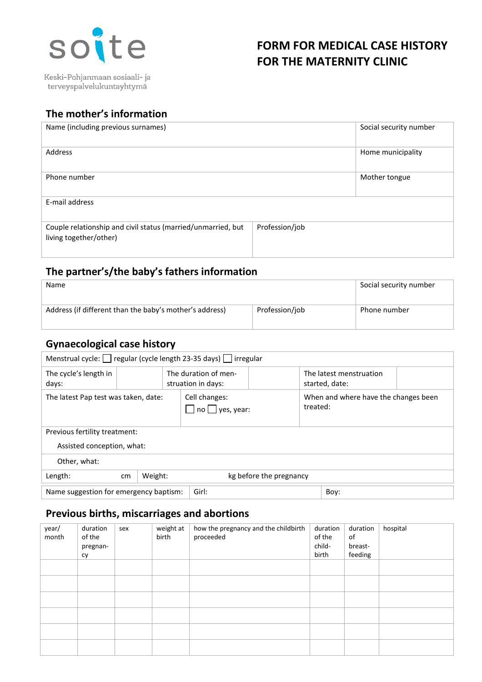

Keski-Pohjanmaan sosiaali- ja terveyspalvelukuntayhtymä

# **FORM FOR MEDICAL CASE HISTORY FOR THE MATERNITY CLINIC**

# **The mother's information**

| Name (including previous surnames)                                                     |                | Social security number |
|----------------------------------------------------------------------------------------|----------------|------------------------|
| Address                                                                                |                | Home municipality      |
| Phone number                                                                           |                | Mother tongue          |
| E-mail address                                                                         |                |                        |
| Couple relationship and civil status (married/unmarried, but<br>living together/other) | Profession/job |                        |

### **The partner's/the baby's fathers information**

| <b>Name</b>                                             |                | Social security number |
|---------------------------------------------------------|----------------|------------------------|
| Address (if different than the baby's mother's address) | Profession/job | Phone number           |

## **Gynaecological case history**

| Menstrual cycle:   regular (cycle length 23-35 days)   irregular |               |                                              |  |  |                                                  |  |
|------------------------------------------------------------------|---------------|----------------------------------------------|--|--|--------------------------------------------------|--|
| The cycle's length in<br>days:                                   |               | The duration of men-<br>struation in days:   |  |  | The latest menstruation<br>started, date:        |  |
| The latest Pap test was taken, date:                             |               | Cell changes:<br>$\Box$ no $\Box$ yes, year: |  |  | When and where have the changes been<br>treated: |  |
| Previous fertility treatment:                                    |               |                                              |  |  |                                                  |  |
| Assisted conception, what:                                       |               |                                              |  |  |                                                  |  |
| Other, what:                                                     |               |                                              |  |  |                                                  |  |
| Length:                                                          | <sub>cm</sub> | Weight:<br>kg before the pregnancy           |  |  |                                                  |  |
| Name suggestion for emergency baptism:                           |               | Girl:<br>Boy:                                |  |  |                                                  |  |

## **Previous births, miscarriages and abortions**

| year/<br>month | duration<br>of the<br>pregnan-<br>cy | sex | weight at<br>birth | how the pregnancy and the childbirth<br>proceeded | duration<br>of the<br>child-<br>birth | duration<br>of<br>breast-<br>feeding | hospital |
|----------------|--------------------------------------|-----|--------------------|---------------------------------------------------|---------------------------------------|--------------------------------------|----------|
|                |                                      |     |                    |                                                   |                                       |                                      |          |
|                |                                      |     |                    |                                                   |                                       |                                      |          |
|                |                                      |     |                    |                                                   |                                       |                                      |          |
|                |                                      |     |                    |                                                   |                                       |                                      |          |
|                |                                      |     |                    |                                                   |                                       |                                      |          |
|                |                                      |     |                    |                                                   |                                       |                                      |          |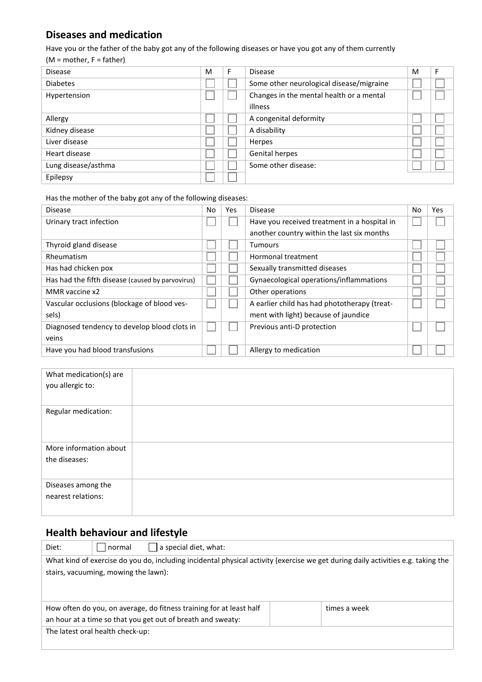## **Diseases and medication**

Have you or the father of the baby got any of the following diseases or have you got any of them currently

 $(M = mother, F = father)$ 

| <b>Disease</b>      | M | F | <b>Disease</b>                           | M | F |
|---------------------|---|---|------------------------------------------|---|---|
| <b>Diabetes</b>     |   |   | Some other neurological disease/migraine |   |   |
| Hypertension        |   |   | Changes in the mental health or a mental |   |   |
|                     |   |   | illness                                  |   |   |
| Allergy             |   |   | A congenital deformity                   |   |   |
| Kidney disease      |   |   | A disability                             |   |   |
| Liver disease       |   |   | Herpes                                   |   |   |
| Heart disease       |   |   | <b>Genital herpes</b>                    |   |   |
| Lung disease/asthma |   |   | Some other disease:                      |   |   |
| Epilepsy            |   |   |                                          |   |   |

Has the mother of the baby got any of the following diseases:

| <b>Disease</b>                                   | No | Yes | <b>Disease</b>                               | No | <b>Yes</b> |
|--------------------------------------------------|----|-----|----------------------------------------------|----|------------|
| Urinary tract infection                          |    |     | Have you received treatment in a hospital in |    |            |
|                                                  |    |     | another country within the last six months   |    |            |
| Thyroid gland disease                            |    |     | <b>Tumours</b>                               |    |            |
| Rheumatism                                       |    |     | Hormonal treatment                           |    |            |
| Has had chicken pox                              |    |     | Sexually transmitted diseases                |    |            |
| Has had the fifth disease (caused by parvovirus) |    |     | Gynaecological operations/inflammations      |    |            |
| MMR vaccine x2                                   |    |     | Other operations                             |    |            |
| Vascular occlusions (blockage of blood ves-      |    |     | A earlier child has had phototherapy (treat- |    |            |
| sels)                                            |    |     | ment with light) because of jaundice         |    |            |
| Diagnosed tendency to develop blood clots in     |    |     | Previous anti-D protection                   |    |            |
| veins                                            |    |     |                                              |    |            |
| Have you had blood transfusions                  |    |     | Allergy to medication                        |    |            |

| What medication(s) are<br>you allergic to: |  |
|--------------------------------------------|--|
| Regular medication:                        |  |
| More information about<br>the diseases:    |  |
| Diseases among the<br>nearest relations:   |  |

# **Health behaviour and lifestyle**

| Diet:                                                                                                                            | ' normal                             | a special diet, what:                                               |  |              |  |
|----------------------------------------------------------------------------------------------------------------------------------|--------------------------------------|---------------------------------------------------------------------|--|--------------|--|
| What kind of exercise do you do, including incidental physical activity (exercise we get during daily activities e.g. taking the |                                      |                                                                     |  |              |  |
|                                                                                                                                  | stairs, vacuuming, mowing the lawn): |                                                                     |  |              |  |
|                                                                                                                                  |                                      |                                                                     |  |              |  |
|                                                                                                                                  |                                      | How often do you, on average, do fitness training for at least half |  | times a week |  |
|                                                                                                                                  |                                      | an hour at a time so that you get out of breath and sweaty:         |  |              |  |
|                                                                                                                                  | The latest oral health check-up:     |                                                                     |  |              |  |
|                                                                                                                                  |                                      |                                                                     |  |              |  |